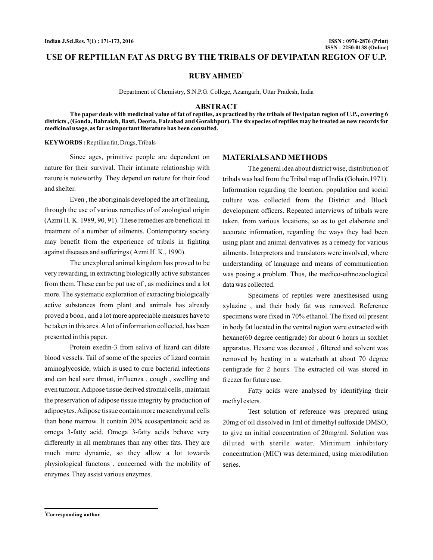# **USE OF REPTILIAN FAT AS DRUG BY THE TRIBALS OF DEVIPATAN REGION OF U.P.**

**RUBY AHMED<sup>1</sup>**

Department of Chemistry, S.N.P.G. College, Azamgarh, Uttar Pradesh, India

#### **ABSTRACT**

**The paper deals with medicinal value of fat of reptiles, as practiced by the tribals of Devipatan region of U.P., covering 6 districts , (Gonda, Bahraich, Basti, Deoria, Faizabad and Gorakhpur). The six species of reptiles may be treated as new records for medicinal usage, as far as important literature has been consulted.**

Reptilian fat, Drugs, Tribals **KEYWORDS :**

Since ages, primitive people are dependent on nature for their survival. Their intimate relationship with nature is noteworthy. They depend on nature for their food and shelter.

Even , the aboriginals developed the art of healing, through the use of various remedies of of zoological origin (Azmi H. K. 1989, 90, 91). These remedies are beneficial in treatment of a number of ailments. Contemporary society may benefit from the experience of tribals in fighting against diseases and sufferings (Azmi H. K., 1990).

The unexplored animal kingdom has proved to be very rewarding, in extracting biologically active substances from them. These can be put use of , as medicines and a lot more. The systematic exploration of extracting biologically active substances from plant and animals has already proved a boon , and a lot more appreciable measures have to be taken in this ares.Alot of information collected, has been presented in this paper.

Protein exedin-3 from saliva of lizard can dilate blood vessels. Tail of some of the species of lizard contain aminoglycoside, which is used to cure bacterial infections and can heal sore throat, influenza , cough , swelling and even tumour.Adipose tissue derived stromal cells , maintain the preservation of adipose tissue integrity by production of adipocytes.Adipose tissue contain more mesenchymal cells than bone marrow. It contain 20% ecosapentanoic acid as omega 3-fatty acid. Omega 3-fatty acids behave very differently in all membranes than any other fats. They are much more dynamic, so they allow a lot towards physiological functons , concerned with the mobility of enzymes. They assist various enzymes.

### **MATERIALSAND METHODS**

The general idea about district wise, distribution of tribals was had from the Tribal map of India (Gohain,1971). Information regarding the location, population and social culture was collected from the District and Block development officers. Repeated interviews of tribals were taken, from various locations, so as to get elaborate and accurate information, regarding the ways they had been using plant and animal derivatives as a remedy for various ailments. Interpretors and translators were involved, where understanding of language and means of communication was posing a problem. Thus, the medico-ethnozoological data was collected.

Specimens of reptiles were anesthesised using xylazine , and their body fat was removed. Reference specimens were fixed in 70% ethanol. The fixed oil present in body fat located in the ventral region were extracted with hexane(60 degree centigrade) for about 6 hours in soxhlet apparatus. Hexane was decanted , filtered and solvent was removed by heating in a waterbath at about 70 degree centigrade for 2 hours. The extracted oil was stored in freezer for future use.

Fatty acids were analysed by identifying their methyl esters.

Test solution of reference was prepared using 20mg of oil dissolved in 1ml of dimethyl sulfoxide DMSO, to give an initial concentration of 20mg/ml. Solution was diluted with sterile water. Minimum inhibitory concentration (MIC) was determined, using microdilution series.

**<sup>1</sup>Corresponding author**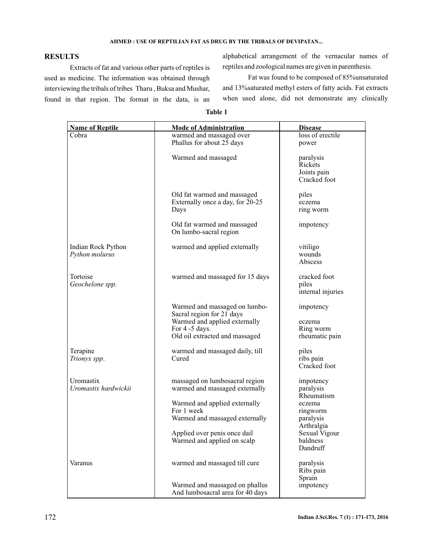### **AHMED : USE OF REPTILIAN FAT AS DRUG BY THE TRIBALS OF DEVIPATAN...**

# **RESULTS**

Extracts of fat and various other parts of reptiles is used as medicine. The information was obtained through interviewing the tribals of tribes Tharu , Buksa and Mushar, found in that region. The format in the data, is an alphabetical arrangement of the vernacular names of reptiles and zoological names are given in parenthesis.

Fat was found to be composed of 85%unsaturated and 13%saturated methyl esters of fatty acids. Fat extracts when used alone, did not demonstrate any clinically

| able |  |
|------|--|
|------|--|

| <b>Name of Reptile</b>               | <b>Mode of Administration</b>                                                                                                                   | <b>Disease</b>                                             |
|--------------------------------------|-------------------------------------------------------------------------------------------------------------------------------------------------|------------------------------------------------------------|
| Cobra                                | warmed and massaged over                                                                                                                        | loss of erectile                                           |
|                                      | Phallus for about 25 days                                                                                                                       | power                                                      |
|                                      | Warmed and massaged                                                                                                                             | paralysis<br><b>Rickets</b><br>Joints pain<br>Cracked foot |
|                                      | Old fat warmed and massaged<br>Externally once a day, for 20-25<br>Days                                                                         | piles<br>eczema<br>ring worm                               |
|                                      | Old fat warmed and massaged<br>On lumbo-sacral region                                                                                           | impotency                                                  |
| Indian Rock Python<br>Python molurus | warmed and applied externally                                                                                                                   | vitiligo<br>wounds<br>Abscess                              |
| Tortoise<br>Geochelone spp.          | warmed and massaged for 15 days                                                                                                                 | cracked foot<br>piles<br>internal injuries                 |
|                                      | Warmed and massaged on lumbo-<br>Sacral region for 21 days<br>Warmed and applied externally<br>For 4 -5 days.<br>Old oil extracted and massaged | impotency<br>eczema<br>Ring worm<br>rheumatic pain         |
| Terapine<br>Trionyx spp.             | warmed and massaged daily, till<br>Cured                                                                                                        | piles<br>ribs pain<br>Cracked foot                         |
| Uromastix<br>Uromastix hardwickii    | massaged on lumbosacral region<br>warmed and massaged externally                                                                                | impotency<br>paralysis<br>Rheumatism                       |
|                                      | Warmed and applied externally                                                                                                                   | eczema                                                     |
|                                      | For 1 week<br>Warmed and massaged externally                                                                                                    | ringworm<br>paralysis                                      |
|                                      | Applied over penis once dail<br>Warmed and applied on scalp                                                                                     | Arthralgia<br>Sexual Vigour<br>baldness<br>Dandruff        |
| Varanus                              | warmed and massaged till cure                                                                                                                   | paralysis<br>Ribs pain<br>Sprain                           |
|                                      | Warmed and massaged on phallus<br>And lumbosacral area for 40 days                                                                              | impotency                                                  |